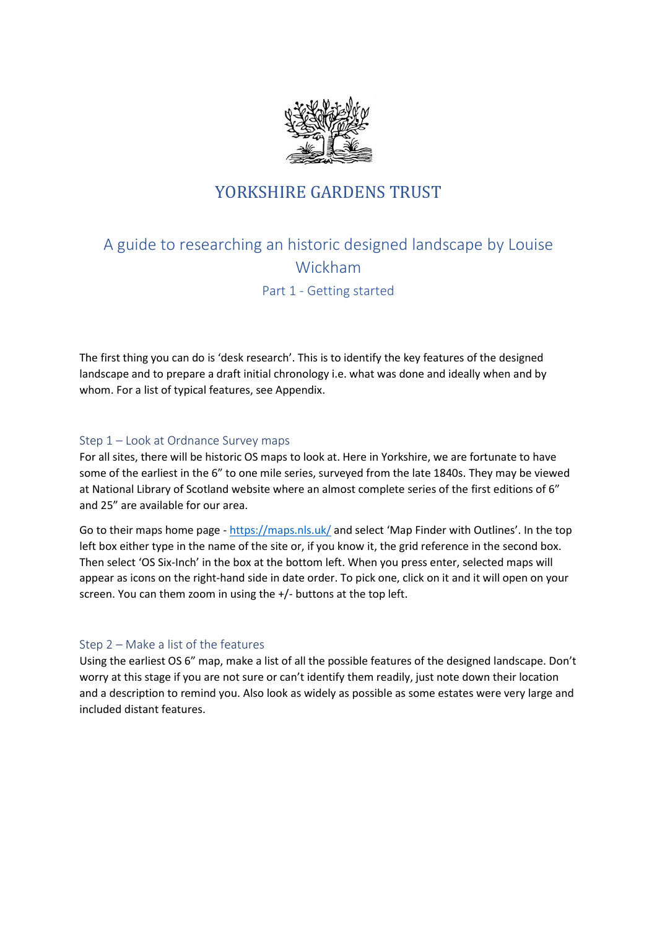

# YORKSHIRE GARDENS TRUST

# A guide to researching an historic designed landscape by Louise Wickham Part 1 - Getting started

The first thing you can do is 'desk research'. This is to identify the key features of the designed landscape and to prepare a draft initial chronology i.e. what was done and ideally when and by whom. For a list of typical features, see Appendix.

# Step 1 – Look at Ordnance Survey maps

For all sites, there will be historic OS maps to look at. Here in Yorkshire, we are fortunate to have some of the earliest in the 6" to one mile series, surveyed from the late 1840s. They may be viewed at National Library of Scotland website where an almost complete series of the first editions of 6" and 25" are available for our area.

Go to their maps home page - <https://maps.nls.uk/> and select 'Map Finder with Outlines'. In the top left box either type in the name of the site or, if you know it, the grid reference in the second box. Then select 'OS Six-Inch' in the box at the bottom left. When you press enter, selected maps will appear as icons on the right-hand side in date order. To pick one, click on it and it will open on your screen. You can them zoom in using the +/- buttons at the top left.

## Step 2 – Make a list of the features

Using the earliest OS 6" map, make a list of all the possible features of the designed landscape. Don't worry at this stage if you are not sure or can't identify them readily, just note down their location and a description to remind you. Also look as widely as possible as some estates were very large and included distant features.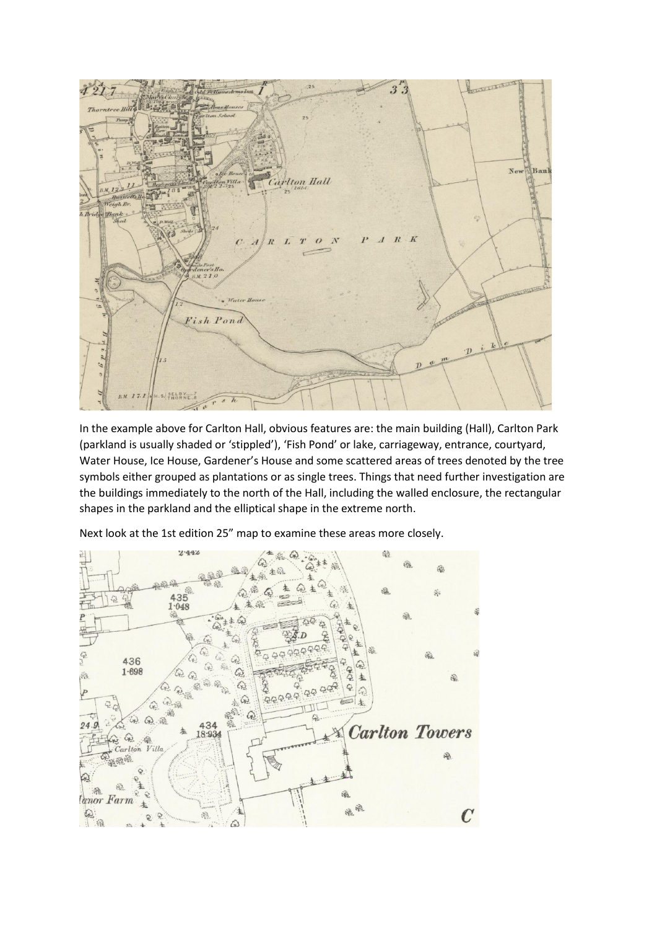

In the example above for Carlton Hall, obvious features are: the main building (Hall), Carlton Park (parkland is usually shaded or 'stippled'), 'Fish Pond' or lake, carriageway, entrance, courtyard, Water House, Ice House, Gardener's House and some scattered areas of trees denoted by the tree symbols either grouped as plantations or as single trees. Things that need further investigation are the buildings immediately to the north of the Hall, including the walled enclosure, the rectangular shapes in the parkland and the elliptical shape in the extreme north.

Next look at the 1st edition 25" map to examine these areas more closely.

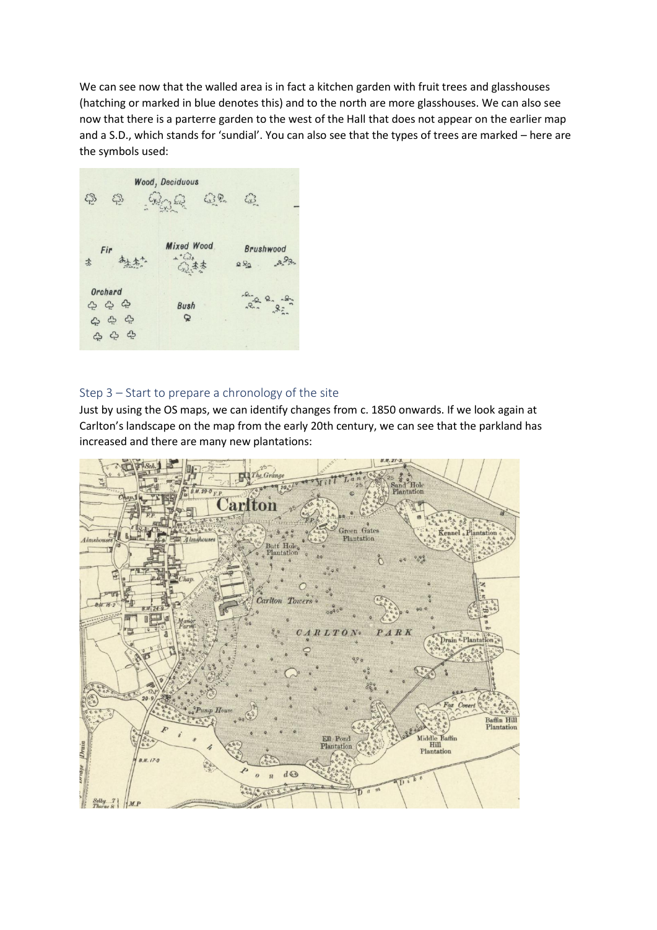We can see now that the walled area is in fact a kitchen garden with fruit trees and glasshouses (hatching or marked in blue denotes this) and to the north are more glasshouses. We can also see now that there is a parterre garden to the west of the Hall that does not appear on the earlier map and a S.D., which stands for 'sundial'. You can also see that the types of trees are marked – here are the symbols used:



# Step 3 – Start to prepare a chronology of the site

Just by using the OS maps, we can identify changes from c. 1850 onwards. If we look again at Carlton's landscape on the map from the early 20th century, we can see that the parkland has increased and there are many new plantations:

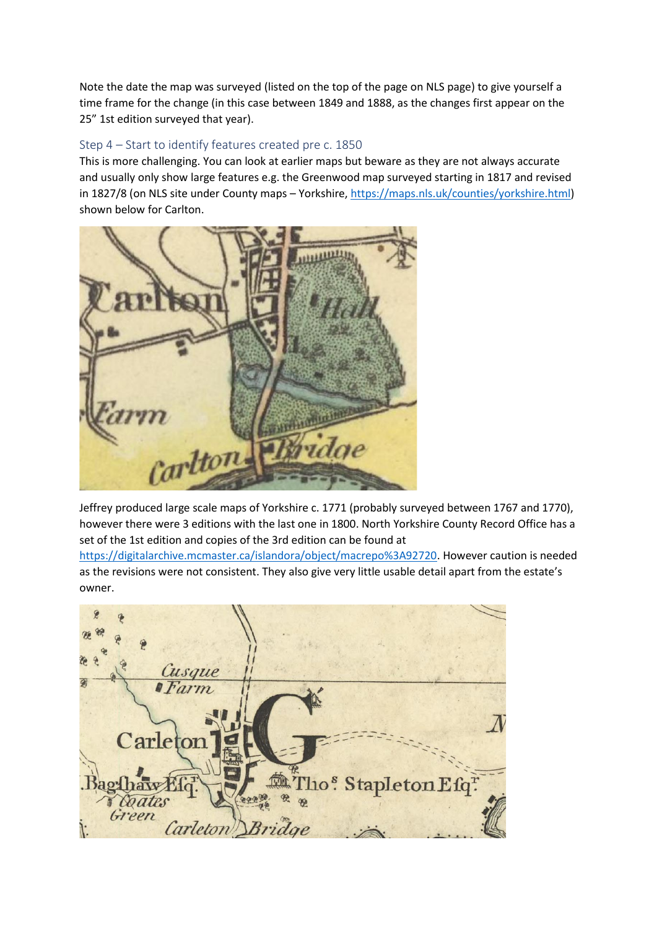Note the date the map was surveyed (listed on the top of the page on NLS page) to give yourself a time frame for the change (in this case between 1849 and 1888, as the changes first appear on the 25" 1st edition surveyed that year).

# Step 4 – Start to identify features created pre c. 1850

This is more challenging. You can look at earlier maps but beware as they are not always accurate and usually only show large features e.g. the Greenwood map surveyed starting in 1817 and revised in 1827/8 (on NLS site under County maps – Yorkshire, [https://maps.nls.uk/counties/yorkshire.html\)](https://maps.nls.uk/counties/yorkshire.html) shown below for Carlton.



Jeffrey produced large scale maps of Yorkshire c. 1771 (probably surveyed between 1767 and 1770), however there were 3 editions with the last one in 1800. North Yorkshire County Record Office has a set of the 1st edition and copies of the 3rd edition can be found at

[https://digitalarchive.mcmaster.ca/islandora/object/macrepo%3A92720.](https://digitalarchive.mcmaster.ca/islandora/object/macrepo%3A92720) However caution is needed as the revisions were not consistent. They also give very little usable detail apart from the estate's owner.

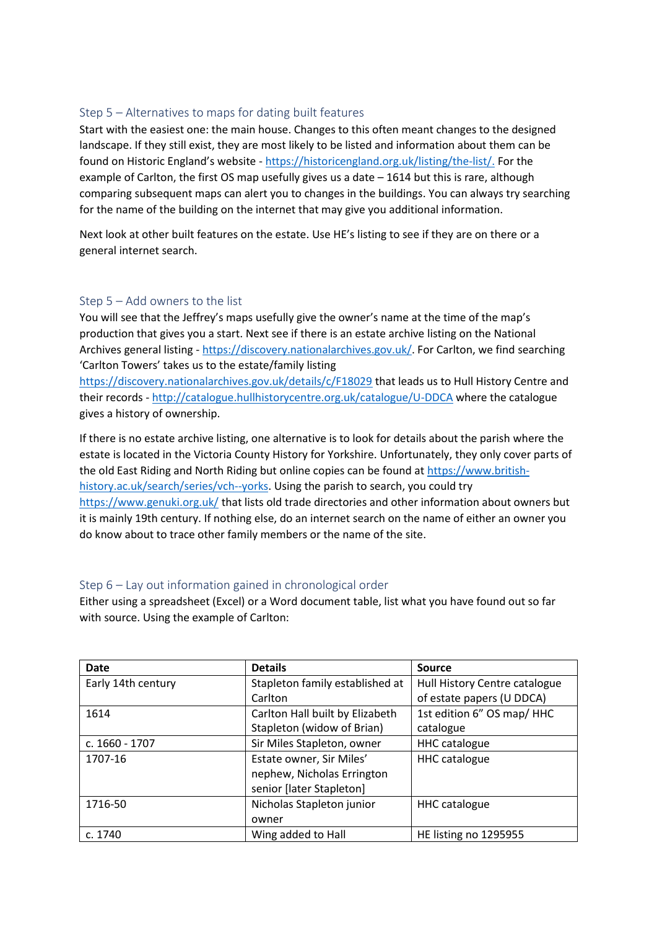# Step 5 – Alternatives to maps for dating built features

Start with the easiest one: the main house. Changes to this often meant changes to the designed landscape. If they still exist, they are most likely to be listed and information about them can be found on Historic England's website - [https://historicengland.org.uk/listing/the-list/.](https://historicengland.org.uk/listing/the-list/) For the example of Carlton, the first OS map usefully gives us a date – 1614 but this is rare, although comparing subsequent maps can alert you to changes in the buildings. You can always try searching for the name of the building on the internet that may give you additional information.

Next look at other built features on the estate. Use HE's listing to see if they are on there or a general internet search.

# Step 5 – Add owners to the list

You will see that the Jeffrey's maps usefully give the owner's name at the time of the map's production that gives you a start. Next see if there is an estate archive listing on the National Archives general listing - [https://discovery.nationalarchives.gov.uk/.](https://discovery.nationalarchives.gov.uk/) For Carlton, we find searching 'Carlton Towers' takes us to the estate/family listing

<https://discovery.nationalarchives.gov.uk/details/c/F18029> that leads us to Hull History Centre and their records - <http://catalogue.hullhistorycentre.org.uk/catalogue/U-DDCA> where the catalogue gives a history of ownership.

If there is no estate archive listing, one alternative is to look for details about the parish where the estate is located in the Victoria County History for Yorkshire. Unfortunately, they only cover parts of the old East Riding and North Riding but online copies can be found at [https://www.british](https://www.british-history.ac.uk/search/series/vch--yorks)[history.ac.uk/search/series/vch--yorks.](https://www.british-history.ac.uk/search/series/vch--yorks) Using the parish to search, you could try <https://www.genuki.org.uk/> that lists old trade directories and other information about owners but it is mainly 19th century. If nothing else, do an internet search on the name of either an owner you do know about to trace other family members or the name of the site.

## Step 6 – Lay out information gained in chronological order

Either using a spreadsheet (Excel) or a Word document table, list what you have found out so far with source. Using the example of Carlton:

| <b>Date</b>        | <b>Details</b>                  | <b>Source</b>                 |
|--------------------|---------------------------------|-------------------------------|
| Early 14th century | Stapleton family established at | Hull History Centre catalogue |
|                    | Carlton                         | of estate papers (U DDCA)     |
| 1614               | Carlton Hall built by Elizabeth | 1st edition 6" OS map/ HHC    |
|                    | Stapleton (widow of Brian)      | catalogue                     |
| c. 1660 - 1707     | Sir Miles Stapleton, owner      | <b>HHC</b> catalogue          |
| 1707-16            | Estate owner, Sir Miles'        | <b>HHC</b> catalogue          |
|                    | nephew, Nicholas Errington      |                               |
|                    | senior [later Stapleton]        |                               |
| 1716-50            | Nicholas Stapleton junior       | <b>HHC</b> catalogue          |
|                    | owner                           |                               |
| c. 1740            | Wing added to Hall              | HE listing no 1295955         |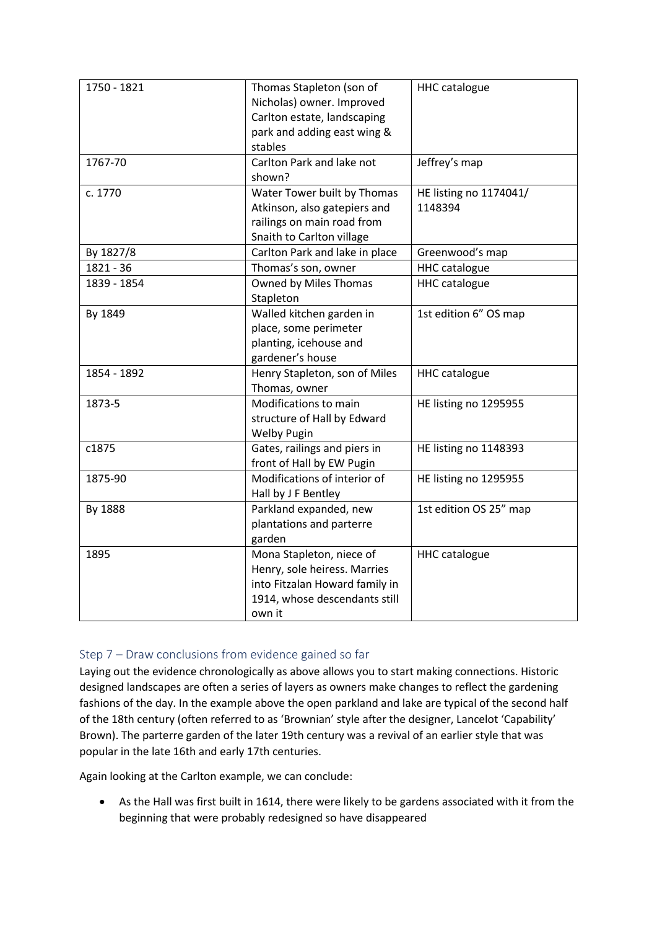| 1750 - 1821 | Thomas Stapleton (son of                                 | <b>HHC</b> catalogue   |
|-------------|----------------------------------------------------------|------------------------|
|             | Nicholas) owner. Improved<br>Carlton estate, landscaping |                        |
|             | park and adding east wing &                              |                        |
|             | stables                                                  |                        |
| 1767-70     | Carlton Park and lake not                                | Jeffrey's map          |
|             | shown?                                                   |                        |
| c. 1770     | Water Tower built by Thomas                              | HE listing no 1174041/ |
|             | Atkinson, also gatepiers and                             | 1148394                |
|             | railings on main road from                               |                        |
|             | Snaith to Carlton village                                |                        |
| By 1827/8   | Carlton Park and lake in place                           | Greenwood's map        |
| 1821 - 36   | Thomas's son, owner                                      | <b>HHC</b> catalogue   |
| 1839 - 1854 | Owned by Miles Thomas                                    | <b>HHC</b> catalogue   |
|             | Stapleton                                                |                        |
| By 1849     | Walled kitchen garden in                                 | 1st edition 6" OS map  |
|             | place, some perimeter                                    |                        |
|             | planting, icehouse and                                   |                        |
|             | gardener's house                                         |                        |
| 1854 - 1892 | Henry Stapleton, son of Miles                            | <b>HHC</b> catalogue   |
|             | Thomas, owner                                            |                        |
| 1873-5      | Modifications to main                                    | HE listing no 1295955  |
|             | structure of Hall by Edward                              |                        |
|             | <b>Welby Pugin</b>                                       |                        |
| c1875       | Gates, railings and piers in                             | HE listing no 1148393  |
|             | front of Hall by EW Pugin                                |                        |
| 1875-90     | Modifications of interior of                             | HE listing no 1295955  |
|             | Hall by J F Bentley                                      |                        |
| By 1888     | Parkland expanded, new                                   | 1st edition OS 25" map |
|             | plantations and parterre                                 |                        |
|             | garden                                                   |                        |
| 1895        | Mona Stapleton, niece of                                 | <b>HHC</b> catalogue   |
|             | Henry, sole heiress. Marries                             |                        |
|             | into Fitzalan Howard family in                           |                        |
|             | 1914, whose descendants still                            |                        |
|             | own it                                                   |                        |

# Step 7 – Draw conclusions from evidence gained so far

Laying out the evidence chronologically as above allows you to start making connections. Historic designed landscapes are often a series of layers as owners make changes to reflect the gardening fashions of the day. In the example above the open parkland and lake are typical of the second half of the 18th century (often referred to as 'Brownian' style after the designer, Lancelot 'Capability' Brown). The parterre garden of the later 19th century was a revival of an earlier style that was popular in the late 16th and early 17th centuries.

Again looking at the Carlton example, we can conclude:

• As the Hall was first built in 1614, there were likely to be gardens associated with it from the beginning that were probably redesigned so have disappeared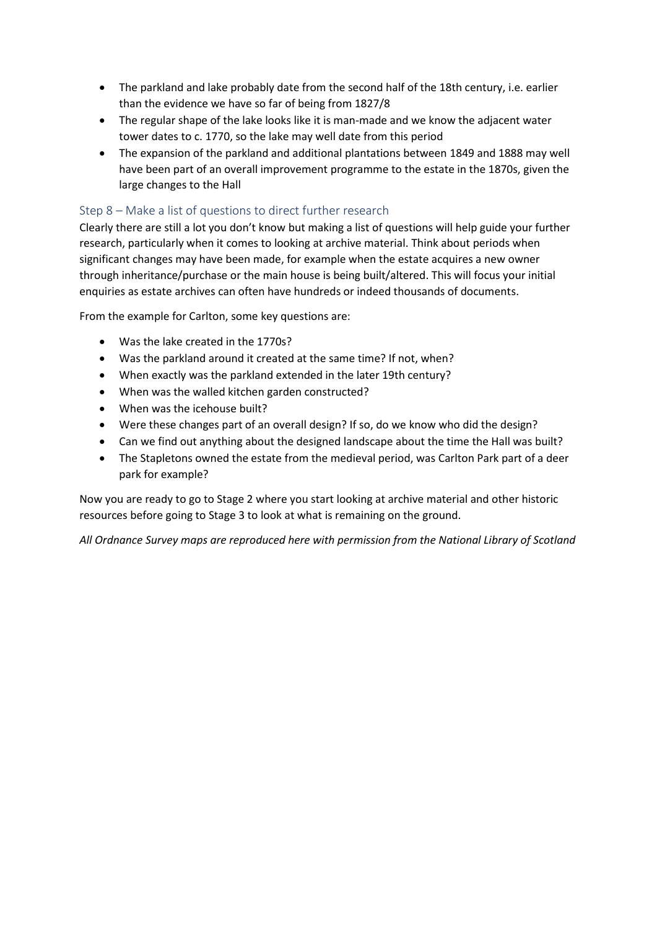- The parkland and lake probably date from the second half of the 18th century, i.e. earlier than the evidence we have so far of being from 1827/8
- The regular shape of the lake looks like it is man-made and we know the adjacent water tower dates to c. 1770, so the lake may well date from this period
- The expansion of the parkland and additional plantations between 1849 and 1888 may well have been part of an overall improvement programme to the estate in the 1870s, given the large changes to the Hall

# Step 8 – Make a list of questions to direct further research

Clearly there are still a lot you don't know but making a list of questions will help guide your further research, particularly when it comes to looking at archive material. Think about periods when significant changes may have been made, for example when the estate acquires a new owner through inheritance/purchase or the main house is being built/altered. This will focus your initial enquiries as estate archives can often have hundreds or indeed thousands of documents.

From the example for Carlton, some key questions are:

- Was the lake created in the 1770s?
- Was the parkland around it created at the same time? If not, when?
- When exactly was the parkland extended in the later 19th century?
- When was the walled kitchen garden constructed?
- When was the icehouse built?
- Were these changes part of an overall design? If so, do we know who did the design?
- Can we find out anything about the designed landscape about the time the Hall was built?
- The Stapletons owned the estate from the medieval period, was Carlton Park part of a deer park for example?

Now you are ready to go to Stage 2 where you start looking at archive material and other historic resources before going to Stage 3 to look at what is remaining on the ground.

*All Ordnance Survey maps are reproduced here with permission from the National Library of Scotland*